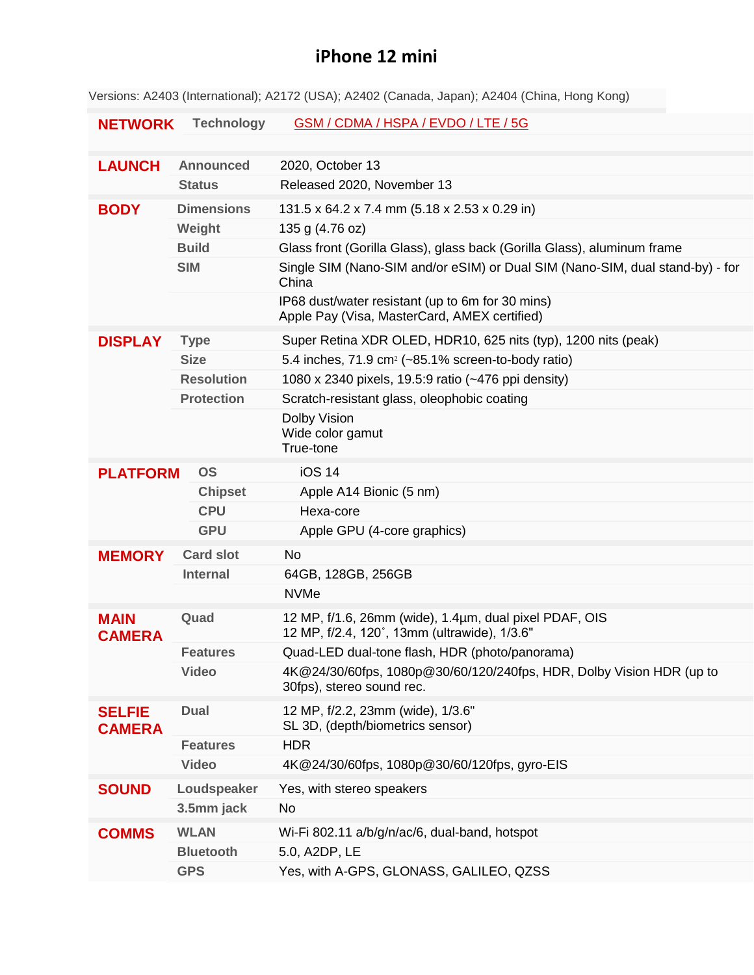## **iPhone 12 mini**

Versions: A2403 (International); A2172 (USA); A2402 (Canada, Japan); A2404 (China, Hong Kong)

| <b>NETWORK</b>                 | <b>Technology</b> | GSM / CDMA / HSPA / EVDO / LTE / 5G                                                                    |
|--------------------------------|-------------------|--------------------------------------------------------------------------------------------------------|
|                                |                   |                                                                                                        |
| <b>LAUNCH</b>                  | <b>Announced</b>  | 2020, October 13                                                                                       |
|                                | <b>Status</b>     | Released 2020, November 13                                                                             |
| <b>BODY</b>                    | <b>Dimensions</b> | 131.5 x 64.2 x 7.4 mm (5.18 x 2.53 x 0.29 in)                                                          |
|                                | Weight            | 135 g (4.76 oz)                                                                                        |
|                                | <b>Build</b>      | Glass front (Gorilla Glass), glass back (Gorilla Glass), aluminum frame                                |
|                                | <b>SIM</b>        | Single SIM (Nano-SIM and/or eSIM) or Dual SIM (Nano-SIM, dual stand-by) - for<br>China                 |
|                                |                   | IP68 dust/water resistant (up to 6m for 30 mins)<br>Apple Pay (Visa, MasterCard, AMEX certified)       |
| <b>DISPLAY</b>                 | <b>Type</b>       | Super Retina XDR OLED, HDR10, 625 nits (typ), 1200 nits (peak)                                         |
|                                | <b>Size</b>       | 5.4 inches, $71.9 \text{ cm}^2$ (~85.1% screen-to-body ratio)                                          |
|                                | <b>Resolution</b> | 1080 x 2340 pixels, 19.5:9 ratio (~476 ppi density)                                                    |
|                                | <b>Protection</b> | Scratch-resistant glass, oleophobic coating                                                            |
|                                |                   | Dolby Vision<br>Wide color gamut                                                                       |
|                                |                   | True-tone                                                                                              |
| <b>OS</b><br><b>PLATFORM</b>   |                   | <b>iOS 14</b>                                                                                          |
|                                | <b>Chipset</b>    | Apple A14 Bionic (5 nm)                                                                                |
|                                | <b>CPU</b>        | Hexa-core                                                                                              |
|                                | <b>GPU</b>        | Apple GPU (4-core graphics)                                                                            |
| <b>MEMORY</b>                  | <b>Card slot</b>  | <b>No</b>                                                                                              |
|                                | <b>Internal</b>   | 64GB, 128GB, 256GB                                                                                     |
|                                |                   | <b>NVMe</b>                                                                                            |
| <b>MAIN</b><br><b>CAMERA</b>   | Quad              | 12 MP, f/1.6, 26mm (wide), 1.4µm, dual pixel PDAF, OIS<br>12 MP, f/2.4, 120°, 13mm (ultrawide), 1/3.6" |
|                                | <b>Features</b>   | Quad-LED dual-tone flash, HDR (photo/panorama)                                                         |
|                                | <b>Video</b>      | 4K@24/30/60fps, 1080p@30/60/120/240fps, HDR, Dolby Vision HDR (up to<br>30fps), stereo sound rec.      |
| <b>SELFIE</b><br><b>CAMERA</b> | <b>Dual</b>       | 12 MP, f/2.2, 23mm (wide), 1/3.6"<br>SL 3D, (depth/biometrics sensor)                                  |
|                                | <b>Features</b>   | <b>HDR</b>                                                                                             |
|                                | <b>Video</b>      | 4K@24/30/60fps, 1080p@30/60/120fps, gyro-EIS                                                           |
| <b>SOUND</b>                   | Loudspeaker       | Yes, with stereo speakers                                                                              |
|                                | 3.5mm jack        | No                                                                                                     |
| <b>COMMS</b>                   | <b>WLAN</b>       | Wi-Fi 802.11 a/b/g/n/ac/6, dual-band, hotspot                                                          |
|                                | <b>Bluetooth</b>  | 5.0, A2DP, LE                                                                                          |
|                                | <b>GPS</b>        | Yes, with A-GPS, GLONASS, GALILEO, QZSS                                                                |